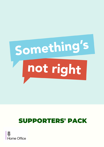

# SUPPORTERS' PACK

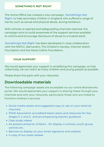### **SOMETHING'S NOT RIGHT**

The Home Office has created a new campaign, ['Something's](https://www.childline.org.uk/somethings-not-right) Not Right'[,](https://www.childline.org.uk/somethings-not-right) to help secondary children in England who suffered a range of harms, such as sexual and physical abuse, during lockdown.

With schools re-opened and safeguarding channels restored, the campaign aims to build awareness of the support services available to victims and encourage disclosure of abuse to a trusted adult.

['Something's](https://www.childline.org.uk/somethings-not-right) Not Right' has been developed in close collaboration with the NSPCC, Barnardo's, The Children's Society, Internet Watch Foundation and the Marie Collins Foundation.

### **YOUR SUPPORT**

We would appreciate your support in amplifying this campaign, so that collectively, we can reach as many children and young people as possible.

Please share this pack with your networks.

# **Downloadable materials**

The following campaign assets are accessible via our online Brandworkz portal. We would appreciate your support in sharing these through your channels and with your networks, particularly those who are linked to frontline children's services.

- Social media assets and [suggested](https://homeoffice.brandworkz.com/bms/?link=D894FAC5) copy to use on your external channels
- PSHE Association accredited lesson plans and resources for Key Stages 3, 4 and 5, and [accompanying](https://www.pshe-association.org.uk/curriculum-and-resources/resources/home-office-somethings-not-right-abuse-disclosure) teacher guidance
- Case study [videos](https://homeoffice.brandworkz.com/bms/?link=FE67EB47)
- A4 posters aimed at [children](https://homeoffice.brandworkz.com/bms/?link=E65D0541) for display in schools, youth group centres etc.
- Banners to display on your email [signature](https://homeoffice.brandworkz.com/bms/?link=56F82807) and website
- A copy of our press [release](https://homeoffice.brandworkz.com/bms/?link=556B0B8A)